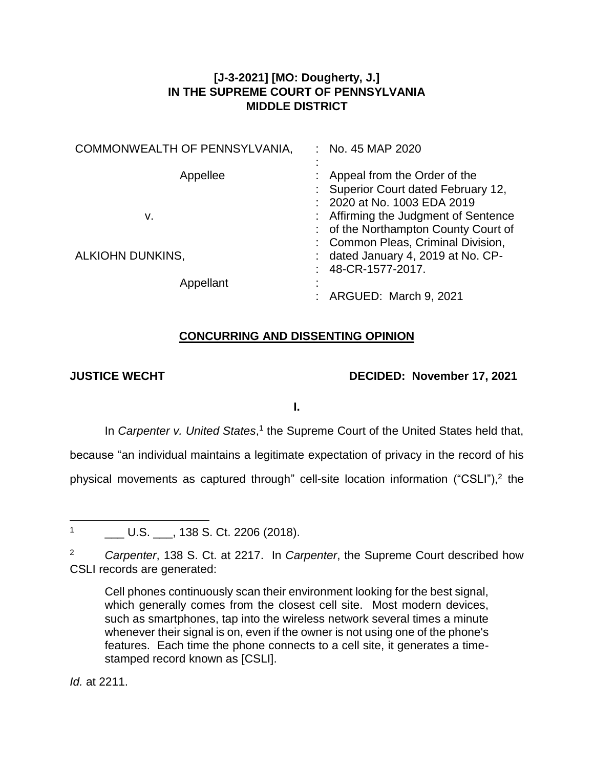# **[J-3-2021] [MO: Dougherty, J.] IN THE SUPREME COURT OF PENNSYLVANIA MIDDLE DISTRICT**

| COMMONWEALTH OF PENNSYLVANIA, | : No. 45 MAP 2020                                                                                                                         |
|-------------------------------|-------------------------------------------------------------------------------------------------------------------------------------------|
| Appellee<br>v.                | Appeal from the Order of the<br>Superior Court dated February 12,<br>: 2020 at No. 1003 EDA 2019<br>: Affirming the Judgment of Sentence  |
| ALKIOHN DUNKINS,              | : of the Northampton County Court of<br>: Common Pleas, Criminal Division,<br>: dated January 4, 2019 at No. CP-<br>: $48$ -CR-1577-2017. |
| Appellant                     | : ARGUED: March 9, 2021                                                                                                                   |

# **CONCURRING AND DISSENTING OPINION**

# **JUSTICE WECHT DECIDED: November 17, 2021**

**I.**

In *Carpenter v. United States*,<sup>1</sup> the Supreme Court of the United States held that,

because "an individual maintains a legitimate expectation of privacy in the record of his

physical movements as captured through" cell-site location information ("CSLI"),<sup>2</sup> the

 $\mathbf{1}$ L. U.S. \_\_\_, 138 S. Ct. 2206 (2018).

<sup>2</sup> *Carpenter*, 138 S. Ct. at 2217. In *Carpenter*, the Supreme Court described how CSLI records are generated:

Cell phones continuously scan their environment looking for the best signal, which generally comes from the closest cell site. Most modern devices, such as smartphones, tap into the wireless network several times a minute whenever their signal is on, even if the owner is not using one of the phone's features. Each time the phone connects to a cell site, it generates a timestamped record known as [CSLI].

*Id.* at 2211.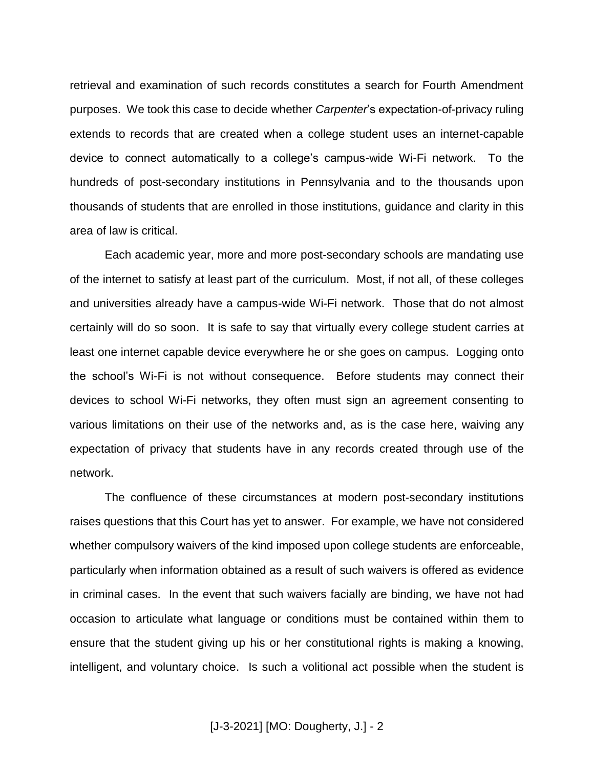retrieval and examination of such records constitutes a search for Fourth Amendment purposes. We took this case to decide whether *Carpenter*'s expectation-of-privacy ruling extends to records that are created when a college student uses an internet-capable device to connect automatically to a college's campus-wide Wi-Fi network. To the hundreds of post-secondary institutions in Pennsylvania and to the thousands upon thousands of students that are enrolled in those institutions, guidance and clarity in this area of law is critical.

Each academic year, more and more post-secondary schools are mandating use of the internet to satisfy at least part of the curriculum. Most, if not all, of these colleges and universities already have a campus-wide Wi-Fi network. Those that do not almost certainly will do so soon. It is safe to say that virtually every college student carries at least one internet capable device everywhere he or she goes on campus. Logging onto the school's Wi-Fi is not without consequence. Before students may connect their devices to school Wi-Fi networks, they often must sign an agreement consenting to various limitations on their use of the networks and, as is the case here, waiving any expectation of privacy that students have in any records created through use of the network.

The confluence of these circumstances at modern post-secondary institutions raises questions that this Court has yet to answer. For example, we have not considered whether compulsory waivers of the kind imposed upon college students are enforceable, particularly when information obtained as a result of such waivers is offered as evidence in criminal cases. In the event that such waivers facially are binding, we have not had occasion to articulate what language or conditions must be contained within them to ensure that the student giving up his or her constitutional rights is making a knowing, intelligent, and voluntary choice. Is such a volitional act possible when the student is

[J-3-2021] [MO: Dougherty, J.] - 2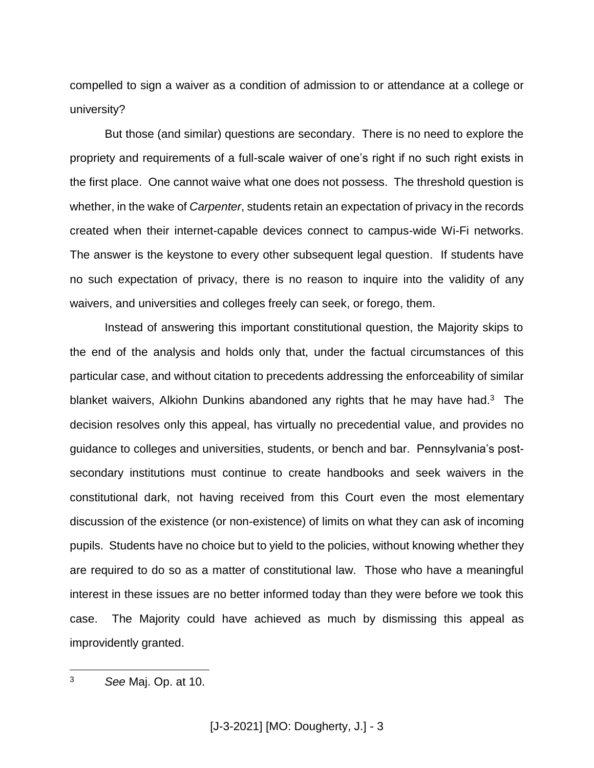compelled to sign a waiver as a condition of admission to or attendance at a college or university?

But those (and similar) questions are secondary. There is no need to explore the propriety and requirements of a full-scale waiver of one's right if no such right exists in the first place. One cannot waive what one does not possess. The threshold question is whether, in the wake of *Carpenter*, students retain an expectation of privacy in the records created when their internet-capable devices connect to campus-wide Wi-Fi networks. The answer is the keystone to every other subsequent legal question. If students have no such expectation of privacy, there is no reason to inquire into the validity of any waivers, and universities and colleges freely can seek, or forego, them.

Instead of answering this important constitutional question, the Majority skips to the end of the analysis and holds only that, under the factual circumstances of this particular case, and without citation to precedents addressing the enforceability of similar blanket waivers, Alkiohn Dunkins abandoned any rights that he may have had.<sup>3</sup> The decision resolves only this appeal, has virtually no precedential value, and provides no guidance to colleges and universities, students, or bench and bar. Pennsylvania's postsecondary institutions must continue to create handbooks and seek waivers in the constitutional dark, not having received from this Court even the most elementary discussion of the existence (or non-existence) of limits on what they can ask of incoming pupils. Students have no choice but to yield to the policies, without knowing whether they are required to do so as a matter of constitutional law. Those who have a meaningful interest in these issues are no better informed today than they were before we took this case. The Majority could have achieved as much by dismissing this appeal as improvidently granted.

 $\overline{3}$ <sup>3</sup> *See* Maj. Op. at 10.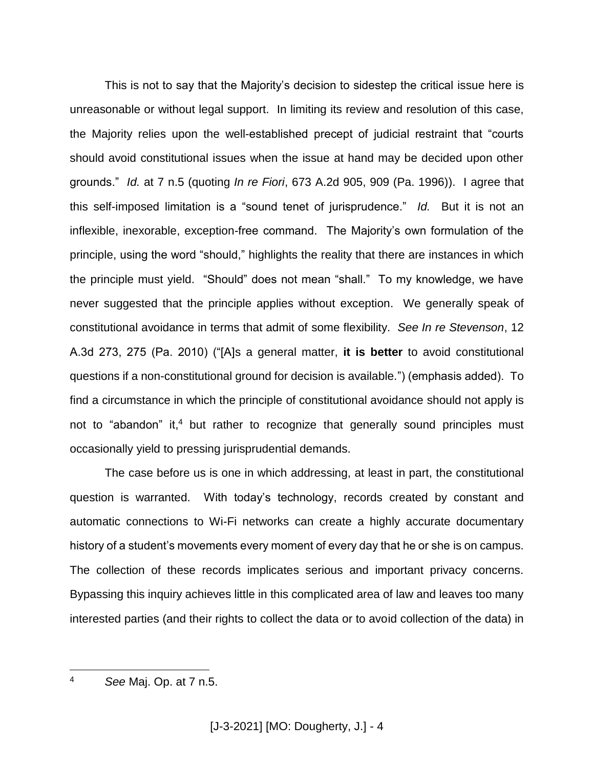This is not to say that the Majority's decision to sidestep the critical issue here is unreasonable or without legal support. In limiting its review and resolution of this case, the Majority relies upon the well-established precept of judicial restraint that "courts should avoid constitutional issues when the issue at hand may be decided upon other grounds." *Id.* at 7 n.5 (quoting *In re Fiori*, 673 A.2d 905, 909 (Pa. 1996)). I agree that this self-imposed limitation is a "sound tenet of jurisprudence." *Id.* But it is not an inflexible, inexorable, exception-free command. The Majority's own formulation of the principle, using the word "should," highlights the reality that there are instances in which the principle must yield. "Should" does not mean "shall." To my knowledge, we have never suggested that the principle applies without exception. We generally speak of constitutional avoidance in terms that admit of some flexibility. *See In re Stevenson*, 12 A.3d 273, 275 (Pa. 2010) ("[A]s a general matter, **it is better** to avoid constitutional questions if a non-constitutional ground for decision is available.") (emphasis added). To find a circumstance in which the principle of constitutional avoidance should not apply is not to "abandon" it, <sup>4</sup> but rather to recognize that generally sound principles must occasionally yield to pressing jurisprudential demands.

The case before us is one in which addressing, at least in part, the constitutional question is warranted. With today's technology, records created by constant and automatic connections to Wi-Fi networks can create a highly accurate documentary history of a student's movements every moment of every day that he or she is on campus. The collection of these records implicates serious and important privacy concerns. Bypassing this inquiry achieves little in this complicated area of law and leaves too many interested parties (and their rights to collect the data or to avoid collection of the data) in

 $\overline{a}$ <sup>4</sup> *See* Maj. Op. at 7 n.5.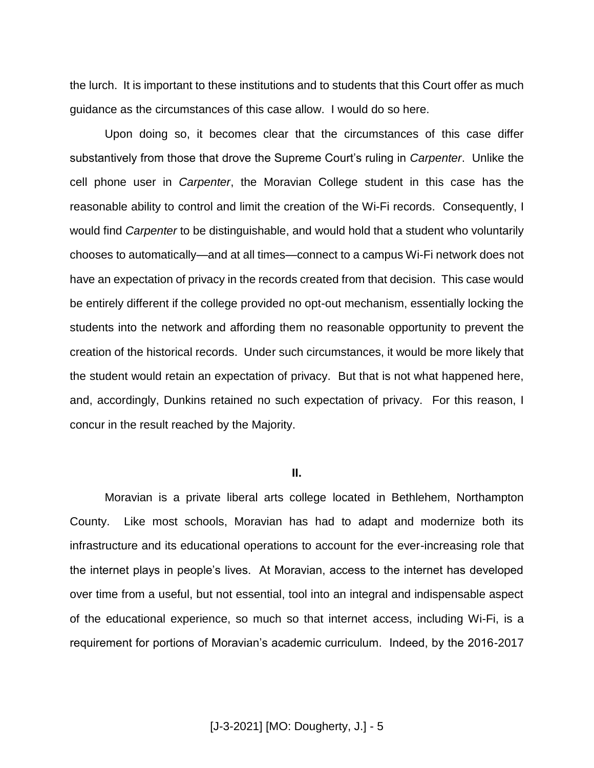the lurch. It is important to these institutions and to students that this Court offer as much guidance as the circumstances of this case allow. I would do so here.

Upon doing so, it becomes clear that the circumstances of this case differ substantively from those that drove the Supreme Court's ruling in *Carpenter*. Unlike the cell phone user in *Carpenter*, the Moravian College student in this case has the reasonable ability to control and limit the creation of the Wi-Fi records. Consequently, I would find *Carpenter* to be distinguishable, and would hold that a student who voluntarily chooses to automatically—and at all times—connect to a campus Wi-Fi network does not have an expectation of privacy in the records created from that decision. This case would be entirely different if the college provided no opt-out mechanism, essentially locking the students into the network and affording them no reasonable opportunity to prevent the creation of the historical records. Under such circumstances, it would be more likely that the student would retain an expectation of privacy. But that is not what happened here, and, accordingly, Dunkins retained no such expectation of privacy. For this reason, I concur in the result reached by the Majority.

#### **II.**

Moravian is a private liberal arts college located in Bethlehem, Northampton County. Like most schools, Moravian has had to adapt and modernize both its infrastructure and its educational operations to account for the ever-increasing role that the internet plays in people's lives. At Moravian, access to the internet has developed over time from a useful, but not essential, tool into an integral and indispensable aspect of the educational experience, so much so that internet access, including Wi-Fi, is a requirement for portions of Moravian's academic curriculum. Indeed, by the 2016-2017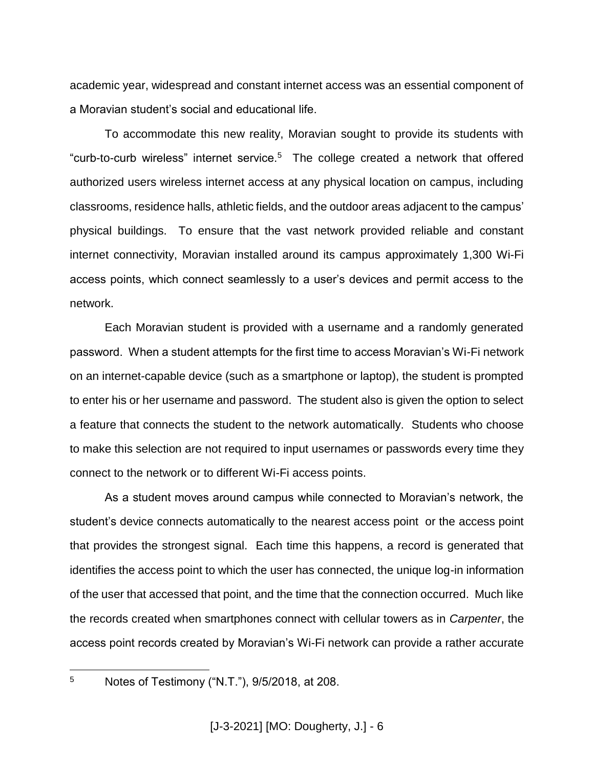academic year, widespread and constant internet access was an essential component of a Moravian student's social and educational life.

To accommodate this new reality, Moravian sought to provide its students with "curb-to-curb wireless" internet service.<sup>5</sup> The college created a network that offered authorized users wireless internet access at any physical location on campus, including classrooms, residence halls, athletic fields, and the outdoor areas adjacent to the campus' physical buildings. To ensure that the vast network provided reliable and constant internet connectivity, Moravian installed around its campus approximately 1,300 Wi-Fi access points, which connect seamlessly to a user's devices and permit access to the network.

Each Moravian student is provided with a username and a randomly generated password. When a student attempts for the first time to access Moravian's Wi-Fi network on an internet-capable device (such as a smartphone or laptop), the student is prompted to enter his or her username and password. The student also is given the option to select a feature that connects the student to the network automatically. Students who choose to make this selection are not required to input usernames or passwords every time they connect to the network or to different Wi-Fi access points.

As a student moves around campus while connected to Moravian's network, the student's device connects automatically to the nearest access point or the access point that provides the strongest signal. Each time this happens, a record is generated that identifies the access point to which the user has connected, the unique log-in information of the user that accessed that point, and the time that the connection occurred. Much like the records created when smartphones connect with cellular towers as in *Carpenter*, the access point records created by Moravian's Wi-Fi network can provide a rather accurate

5

<sup>5</sup> Notes of Testimony ("N.T."), 9/5/2018, at 208.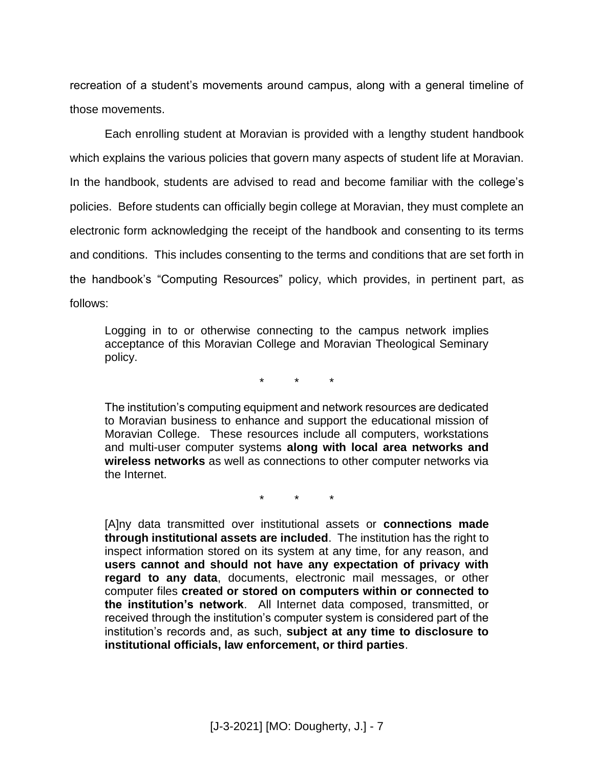recreation of a student's movements around campus, along with a general timeline of those movements.

Each enrolling student at Moravian is provided with a lengthy student handbook which explains the various policies that govern many aspects of student life at Moravian. In the handbook, students are advised to read and become familiar with the college's policies. Before students can officially begin college at Moravian, they must complete an electronic form acknowledging the receipt of the handbook and consenting to its terms and conditions. This includes consenting to the terms and conditions that are set forth in the handbook's "Computing Resources" policy, which provides, in pertinent part, as follows:

Logging in to or otherwise connecting to the campus network implies acceptance of this Moravian College and Moravian Theological Seminary policy.

\* \* \*

The institution's computing equipment and network resources are dedicated to Moravian business to enhance and support the educational mission of Moravian College. These resources include all computers, workstations and multi-user computer systems **along with local area networks and wireless networks** as well as connections to other computer networks via the Internet.

\* \* \*

[A]ny data transmitted over institutional assets or **connections made through institutional assets are included**. The institution has the right to inspect information stored on its system at any time, for any reason, and **users cannot and should not have any expectation of privacy with regard to any data**, documents, electronic mail messages, or other computer files **created or stored on computers within or connected to the institution's network**. All Internet data composed, transmitted, or received through the institution's computer system is considered part of the institution's records and, as such, **subject at any time to disclosure to institutional officials, law enforcement, or third parties**.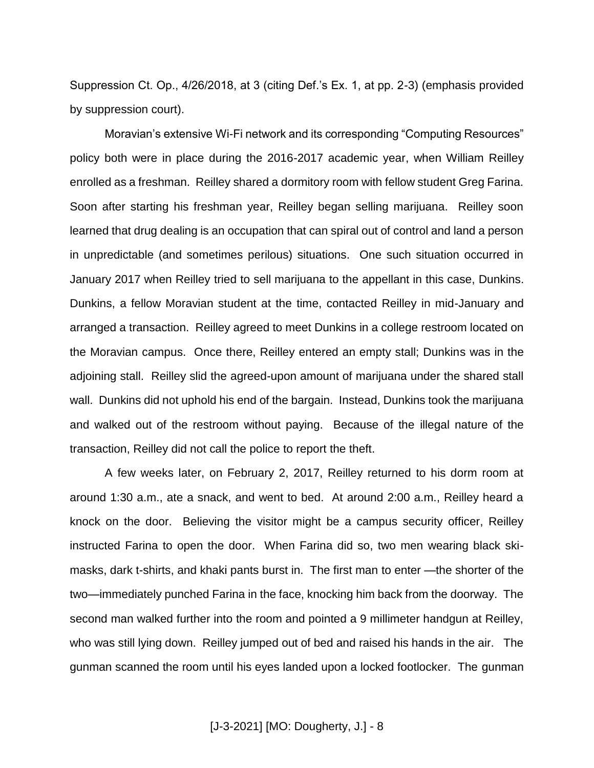Suppression Ct. Op., 4/26/2018, at 3 (citing Def.'s Ex. 1, at pp. 2-3) (emphasis provided by suppression court).

Moravian's extensive Wi-Fi network and its corresponding "Computing Resources" policy both were in place during the 2016-2017 academic year, when William Reilley enrolled as a freshman. Reilley shared a dormitory room with fellow student Greg Farina. Soon after starting his freshman year, Reilley began selling marijuana. Reilley soon learned that drug dealing is an occupation that can spiral out of control and land a person in unpredictable (and sometimes perilous) situations. One such situation occurred in January 2017 when Reilley tried to sell marijuana to the appellant in this case, Dunkins. Dunkins, a fellow Moravian student at the time, contacted Reilley in mid-January and arranged a transaction. Reilley agreed to meet Dunkins in a college restroom located on the Moravian campus. Once there, Reilley entered an empty stall; Dunkins was in the adjoining stall. Reilley slid the agreed-upon amount of marijuana under the shared stall wall. Dunkins did not uphold his end of the bargain. Instead, Dunkins took the marijuana and walked out of the restroom without paying. Because of the illegal nature of the transaction, Reilley did not call the police to report the theft.

A few weeks later, on February 2, 2017, Reilley returned to his dorm room at around 1:30 a.m., ate a snack, and went to bed. At around 2:00 a.m., Reilley heard a knock on the door. Believing the visitor might be a campus security officer, Reilley instructed Farina to open the door. When Farina did so, two men wearing black skimasks, dark t-shirts, and khaki pants burst in. The first man to enter —the shorter of the two—immediately punched Farina in the face, knocking him back from the doorway. The second man walked further into the room and pointed a 9 millimeter handgun at Reilley, who was still lying down. Reilley jumped out of bed and raised his hands in the air. The gunman scanned the room until his eyes landed upon a locked footlocker. The gunman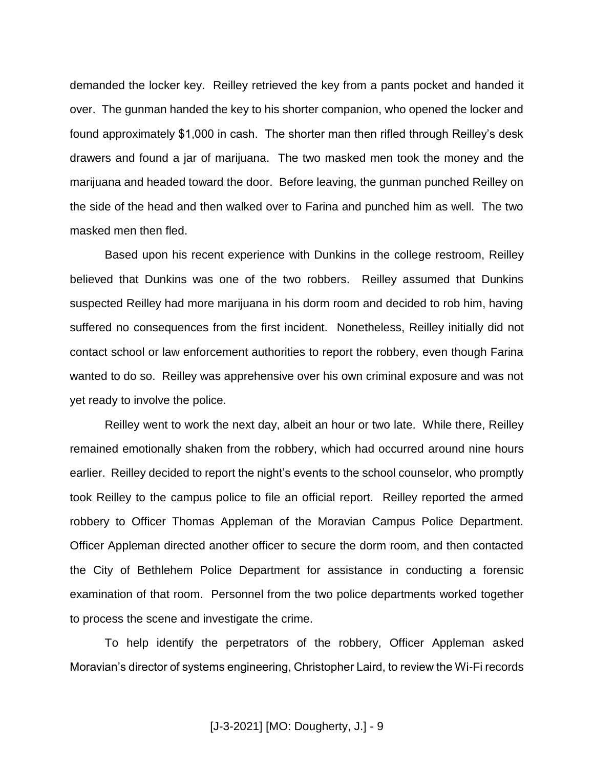demanded the locker key. Reilley retrieved the key from a pants pocket and handed it over. The gunman handed the key to his shorter companion, who opened the locker and found approximately \$1,000 in cash. The shorter man then rifled through Reilley's desk drawers and found a jar of marijuana. The two masked men took the money and the marijuana and headed toward the door. Before leaving, the gunman punched Reilley on the side of the head and then walked over to Farina and punched him as well. The two masked men then fled.

Based upon his recent experience with Dunkins in the college restroom, Reilley believed that Dunkins was one of the two robbers. Reilley assumed that Dunkins suspected Reilley had more marijuana in his dorm room and decided to rob him, having suffered no consequences from the first incident. Nonetheless, Reilley initially did not contact school or law enforcement authorities to report the robbery, even though Farina wanted to do so. Reilley was apprehensive over his own criminal exposure and was not yet ready to involve the police.

Reilley went to work the next day, albeit an hour or two late. While there, Reilley remained emotionally shaken from the robbery, which had occurred around nine hours earlier. Reilley decided to report the night's events to the school counselor, who promptly took Reilley to the campus police to file an official report. Reilley reported the armed robbery to Officer Thomas Appleman of the Moravian Campus Police Department. Officer Appleman directed another officer to secure the dorm room, and then contacted the City of Bethlehem Police Department for assistance in conducting a forensic examination of that room. Personnel from the two police departments worked together to process the scene and investigate the crime.

To help identify the perpetrators of the robbery, Officer Appleman asked Moravian's director of systems engineering, Christopher Laird, to review the Wi-Fi records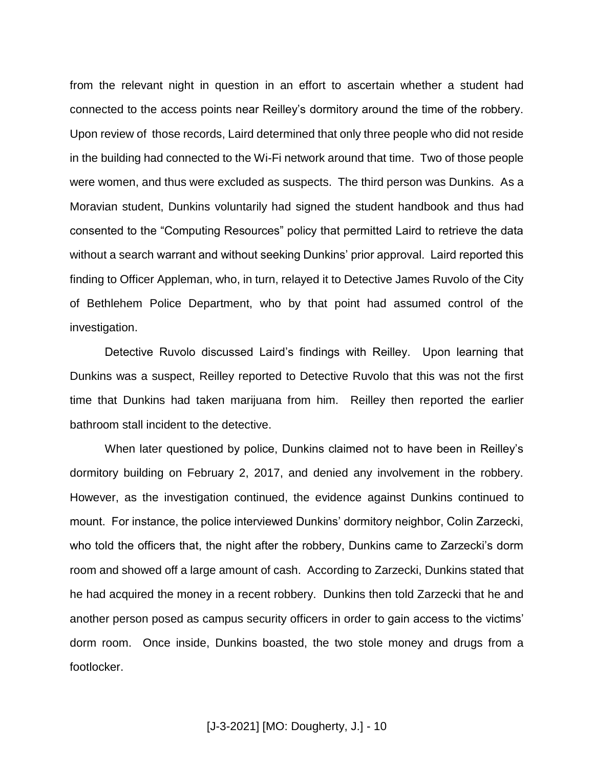from the relevant night in question in an effort to ascertain whether a student had connected to the access points near Reilley's dormitory around the time of the robbery. Upon review of those records, Laird determined that only three people who did not reside in the building had connected to the Wi-Fi network around that time. Two of those people were women, and thus were excluded as suspects. The third person was Dunkins. As a Moravian student, Dunkins voluntarily had signed the student handbook and thus had consented to the "Computing Resources" policy that permitted Laird to retrieve the data without a search warrant and without seeking Dunkins' prior approval. Laird reported this finding to Officer Appleman, who, in turn, relayed it to Detective James Ruvolo of the City of Bethlehem Police Department, who by that point had assumed control of the investigation.

Detective Ruvolo discussed Laird's findings with Reilley. Upon learning that Dunkins was a suspect, Reilley reported to Detective Ruvolo that this was not the first time that Dunkins had taken marijuana from him. Reilley then reported the earlier bathroom stall incident to the detective.

When later questioned by police, Dunkins claimed not to have been in Reilley's dormitory building on February 2, 2017, and denied any involvement in the robbery. However, as the investigation continued, the evidence against Dunkins continued to mount. For instance, the police interviewed Dunkins' dormitory neighbor, Colin Zarzecki, who told the officers that, the night after the robbery, Dunkins came to Zarzecki's dorm room and showed off a large amount of cash. According to Zarzecki, Dunkins stated that he had acquired the money in a recent robbery. Dunkins then told Zarzecki that he and another person posed as campus security officers in order to gain access to the victims' dorm room. Once inside, Dunkins boasted, the two stole money and drugs from a footlocker.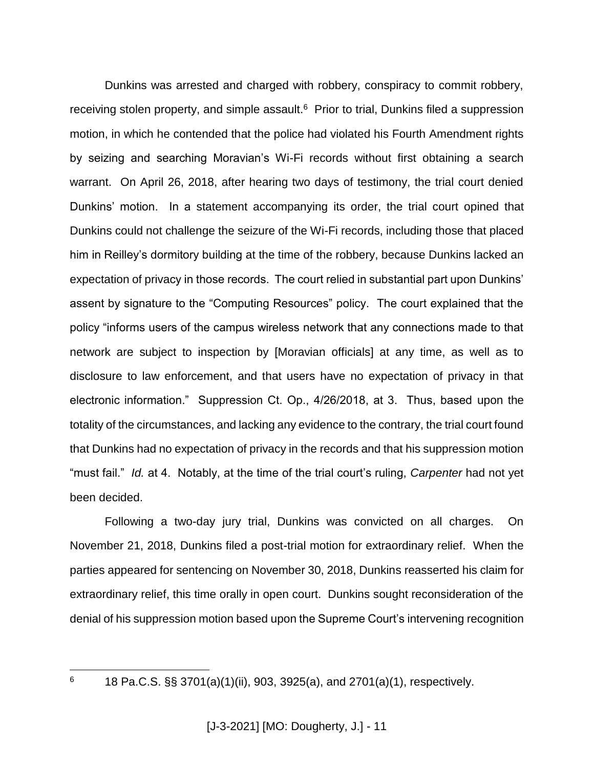Dunkins was arrested and charged with robbery, conspiracy to commit robbery, receiving stolen property, and simple assault.<sup>6</sup> Prior to trial, Dunkins filed a suppression motion, in which he contended that the police had violated his Fourth Amendment rights by seizing and searching Moravian's Wi-Fi records without first obtaining a search warrant. On April 26, 2018, after hearing two days of testimony, the trial court denied Dunkins' motion. In a statement accompanying its order, the trial court opined that Dunkins could not challenge the seizure of the Wi-Fi records, including those that placed him in Reilley's dormitory building at the time of the robbery, because Dunkins lacked an expectation of privacy in those records. The court relied in substantial part upon Dunkins' assent by signature to the "Computing Resources" policy. The court explained that the policy "informs users of the campus wireless network that any connections made to that network are subject to inspection by [Moravian officials] at any time, as well as to disclosure to law enforcement, and that users have no expectation of privacy in that electronic information." Suppression Ct. Op., 4/26/2018, at 3. Thus, based upon the totality of the circumstances, and lacking any evidence to the contrary, the trial court found that Dunkins had no expectation of privacy in the records and that his suppression motion "must fail." *Id.* at 4. Notably, at the time of the trial court's ruling, *Carpenter* had not yet been decided.

Following a two-day jury trial, Dunkins was convicted on all charges. On November 21, 2018, Dunkins filed a post-trial motion for extraordinary relief. When the parties appeared for sentencing on November 30, 2018, Dunkins reasserted his claim for extraordinary relief, this time orally in open court. Dunkins sought reconsideration of the denial of his suppression motion based upon the Supreme Court's intervening recognition

 $6\overline{6}$ 

<sup>6</sup> 18 Pa.C.S. §§ 3701(a)(1)(ii), 903, 3925(a), and 2701(a)(1), respectively.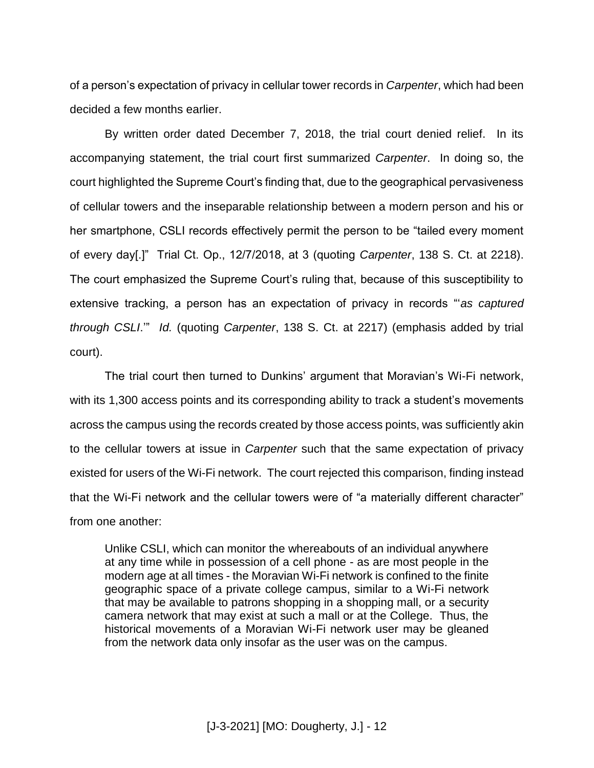of a person's expectation of privacy in cellular tower records in *Carpenter*, which had been decided a few months earlier.

By written order dated December 7, 2018, the trial court denied relief. In its accompanying statement, the trial court first summarized *Carpenter*. In doing so, the court highlighted the Supreme Court's finding that, due to the geographical pervasiveness of cellular towers and the inseparable relationship between a modern person and his or her smartphone, CSLI records effectively permit the person to be "tailed every moment of every day[.]" Trial Ct. Op., 12/7/2018, at 3 (quoting *Carpenter*, 138 S. Ct. at 2218). The court emphasized the Supreme Court's ruling that, because of this susceptibility to extensive tracking, a person has an expectation of privacy in records "'*as captured through CSLI*.'" *Id.* (quoting *Carpenter*, 138 S. Ct. at 2217) (emphasis added by trial court).

The trial court then turned to Dunkins' argument that Moravian's Wi-Fi network, with its 1,300 access points and its corresponding ability to track a student's movements across the campus using the records created by those access points, was sufficiently akin to the cellular towers at issue in *Carpenter* such that the same expectation of privacy existed for users of the Wi-Fi network. The court rejected this comparison, finding instead that the Wi-Fi network and the cellular towers were of "a materially different character" from one another:

Unlike CSLI, which can monitor the whereabouts of an individual anywhere at any time while in possession of a cell phone - as are most people in the modern age at all times - the Moravian Wi-Fi network is confined to the finite geographic space of a private college campus, similar to a Wi-Fi network that may be available to patrons shopping in a shopping mall, or a security camera network that may exist at such a mall or at the College. Thus, the historical movements of a Moravian Wi-Fi network user may be gleaned from the network data only insofar as the user was on the campus.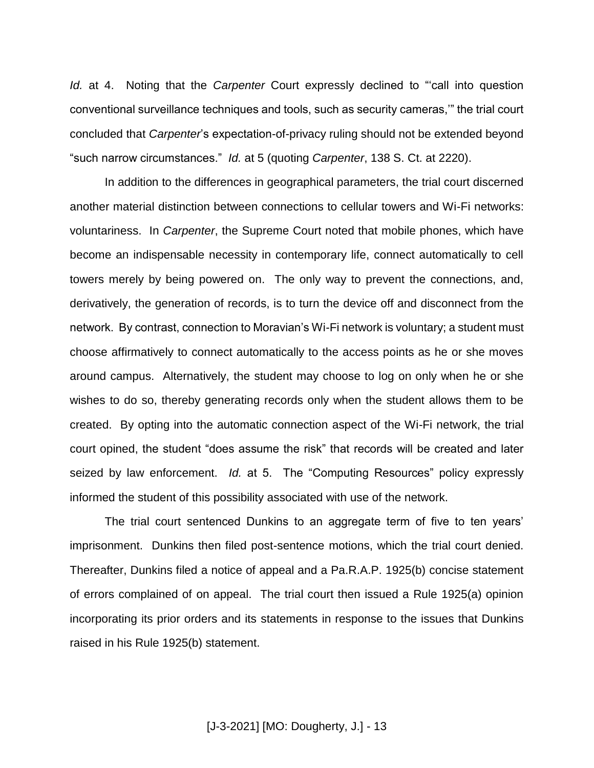*Id.* at 4. Noting that the *Carpenter* Court expressly declined to "'call into question conventional surveillance techniques and tools, such as security cameras,'" the trial court concluded that *Carpenter*'s expectation-of-privacy ruling should not be extended beyond "such narrow circumstances." *Id.* at 5 (quoting *Carpenter*, 138 S. Ct. at 2220).

In addition to the differences in geographical parameters, the trial court discerned another material distinction between connections to cellular towers and Wi-Fi networks: voluntariness. In *Carpenter*, the Supreme Court noted that mobile phones, which have become an indispensable necessity in contemporary life, connect automatically to cell towers merely by being powered on. The only way to prevent the connections, and, derivatively, the generation of records, is to turn the device off and disconnect from the network. By contrast, connection to Moravian's Wi-Fi network is voluntary; a student must choose affirmatively to connect automatically to the access points as he or she moves around campus. Alternatively, the student may choose to log on only when he or she wishes to do so, thereby generating records only when the student allows them to be created. By opting into the automatic connection aspect of the Wi-Fi network, the trial court opined, the student "does assume the risk" that records will be created and later seized by law enforcement. *Id.* at 5. The "Computing Resources" policy expressly informed the student of this possibility associated with use of the network.

The trial court sentenced Dunkins to an aggregate term of five to ten years' imprisonment. Dunkins then filed post-sentence motions, which the trial court denied. Thereafter, Dunkins filed a notice of appeal and a Pa.R.A.P. 1925(b) concise statement of errors complained of on appeal. The trial court then issued a Rule 1925(a) opinion incorporating its prior orders and its statements in response to the issues that Dunkins raised in his Rule 1925(b) statement.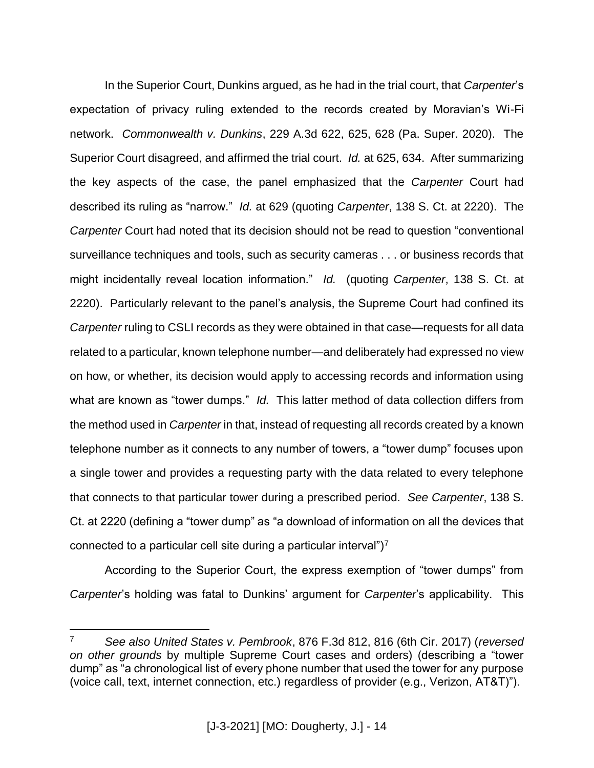In the Superior Court, Dunkins argued, as he had in the trial court, that *Carpenter*'s expectation of privacy ruling extended to the records created by Moravian's Wi-Fi network. *Commonwealth v. Dunkins*, 229 A.3d 622, 625, 628 (Pa. Super. 2020). The Superior Court disagreed, and affirmed the trial court. *Id.* at 625, 634. After summarizing the key aspects of the case, the panel emphasized that the *Carpenter* Court had described its ruling as "narrow." *Id.* at 629 (quoting *Carpenter*, 138 S. Ct. at 2220). The *Carpenter* Court had noted that its decision should not be read to question "conventional surveillance techniques and tools, such as security cameras . . . or business records that might incidentally reveal location information." *Id.* (quoting *Carpenter*, 138 S. Ct. at 2220). Particularly relevant to the panel's analysis, the Supreme Court had confined its *Carpenter* ruling to CSLI records as they were obtained in that case—requests for all data related to a particular, known telephone number—and deliberately had expressed no view on how, or whether, its decision would apply to accessing records and information using what are known as "tower dumps." *Id.* This latter method of data collection differs from the method used in *Carpenter* in that, instead of requesting all records created by a known telephone number as it connects to any number of towers, a "tower dump" focuses upon a single tower and provides a requesting party with the data related to every telephone that connects to that particular tower during a prescribed period. *See Carpenter*, 138 S. Ct. at 2220 (defining a "tower dump" as "a download of information on all the devices that connected to a particular cell site during a particular interval") $<sup>7</sup>$ </sup>

According to the Superior Court, the express exemption of "tower dumps" from *Carpenter*'s holding was fatal to Dunkins' argument for *Carpenter*'s applicability. This

 $\overline{a}$ 

<sup>7</sup> *See also United States v. Pembrook*, 876 F.3d 812, 816 (6th Cir. 2017) (*reversed on other grounds* by multiple Supreme Court cases and orders) (describing a "tower dump" as "a chronological list of every phone number that used the tower for any purpose (voice call, text, internet connection, etc.) regardless of provider (e.g., Verizon, AT&T)").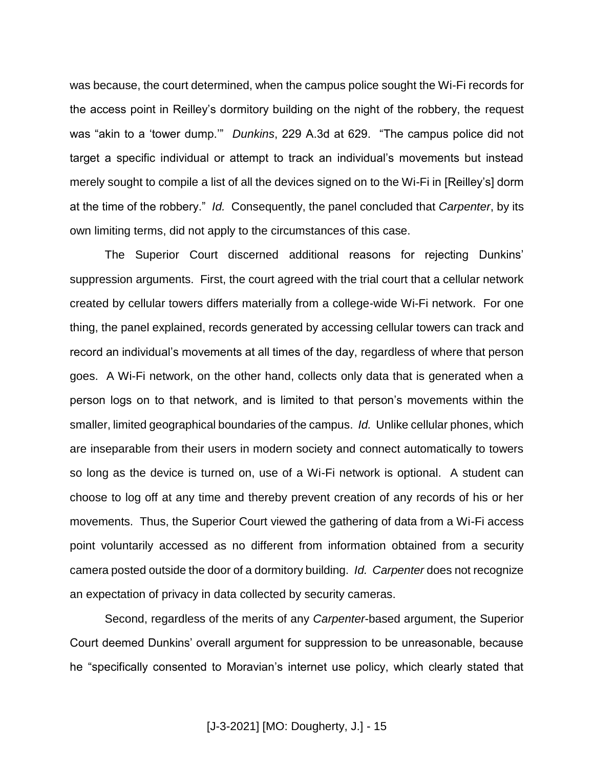was because, the court determined, when the campus police sought the Wi-Fi records for the access point in Reilley's dormitory building on the night of the robbery, the request was "akin to a 'tower dump.'" *Dunkins*, 229 A.3d at 629. "The campus police did not target a specific individual or attempt to track an individual's movements but instead merely sought to compile a list of all the devices signed on to the Wi-Fi in [Reilley's] dorm at the time of the robbery." *Id.* Consequently, the panel concluded that *Carpenter*, by its own limiting terms, did not apply to the circumstances of this case.

The Superior Court discerned additional reasons for rejecting Dunkins' suppression arguments. First, the court agreed with the trial court that a cellular network created by cellular towers differs materially from a college-wide Wi-Fi network. For one thing, the panel explained, records generated by accessing cellular towers can track and record an individual's movements at all times of the day, regardless of where that person goes. A Wi-Fi network, on the other hand, collects only data that is generated when a person logs on to that network, and is limited to that person's movements within the smaller, limited geographical boundaries of the campus. *Id.* Unlike cellular phones, which are inseparable from their users in modern society and connect automatically to towers so long as the device is turned on, use of a Wi-Fi network is optional. A student can choose to log off at any time and thereby prevent creation of any records of his or her movements. Thus, the Superior Court viewed the gathering of data from a Wi-Fi access point voluntarily accessed as no different from information obtained from a security camera posted outside the door of a dormitory building. *Id. Carpenter* does not recognize an expectation of privacy in data collected by security cameras.

Second, regardless of the merits of any *Carpenter*-based argument, the Superior Court deemed Dunkins' overall argument for suppression to be unreasonable, because he "specifically consented to Moravian's internet use policy, which clearly stated that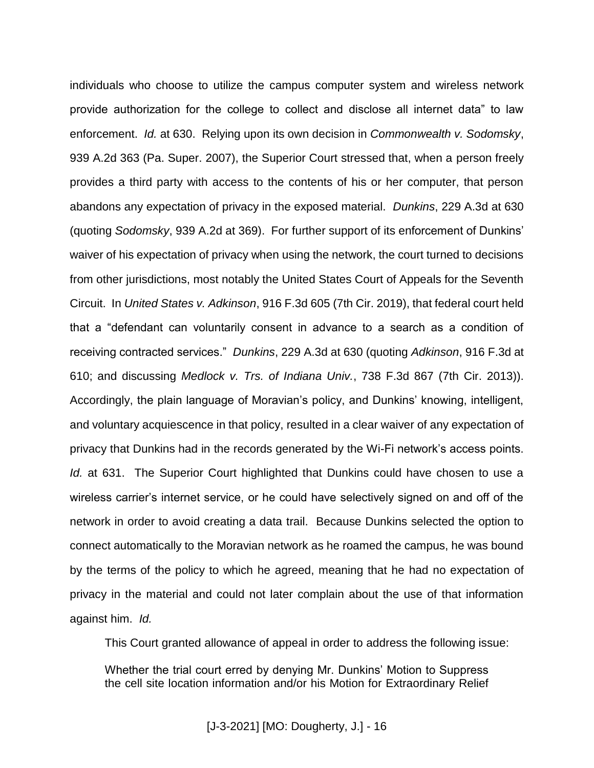individuals who choose to utilize the campus computer system and wireless network provide authorization for the college to collect and disclose all internet data" to law enforcement. *Id.* at 630. Relying upon its own decision in *Commonwealth v. Sodomsky*, 939 A.2d 363 (Pa. Super. 2007), the Superior Court stressed that, when a person freely provides a third party with access to the contents of his or her computer, that person abandons any expectation of privacy in the exposed material. *Dunkins*, 229 A.3d at 630 (quoting *Sodomsky*, 939 A.2d at 369). For further support of its enforcement of Dunkins' waiver of his expectation of privacy when using the network, the court turned to decisions from other jurisdictions, most notably the United States Court of Appeals for the Seventh Circuit. In *United States v. Adkinson*, 916 F.3d 605 (7th Cir. 2019), that federal court held that a "defendant can voluntarily consent in advance to a search as a condition of receiving contracted services." *Dunkins*, 229 A.3d at 630 (quoting *Adkinson*, 916 F.3d at 610; and discussing *Medlock v. Trs. of Indiana Univ.*, 738 F.3d 867 (7th Cir. 2013)). Accordingly, the plain language of Moravian's policy, and Dunkins' knowing, intelligent, and voluntary acquiescence in that policy, resulted in a clear waiver of any expectation of privacy that Dunkins had in the records generated by the Wi-Fi network's access points. *Id.* at 631. The Superior Court highlighted that Dunkins could have chosen to use a wireless carrier's internet service, or he could have selectively signed on and off of the network in order to avoid creating a data trail. Because Dunkins selected the option to connect automatically to the Moravian network as he roamed the campus, he was bound by the terms of the policy to which he agreed, meaning that he had no expectation of privacy in the material and could not later complain about the use of that information against him. *Id.*

This Court granted allowance of appeal in order to address the following issue:

Whether the trial court erred by denying Mr. Dunkins' Motion to Suppress the cell site location information and/or his Motion for Extraordinary Relief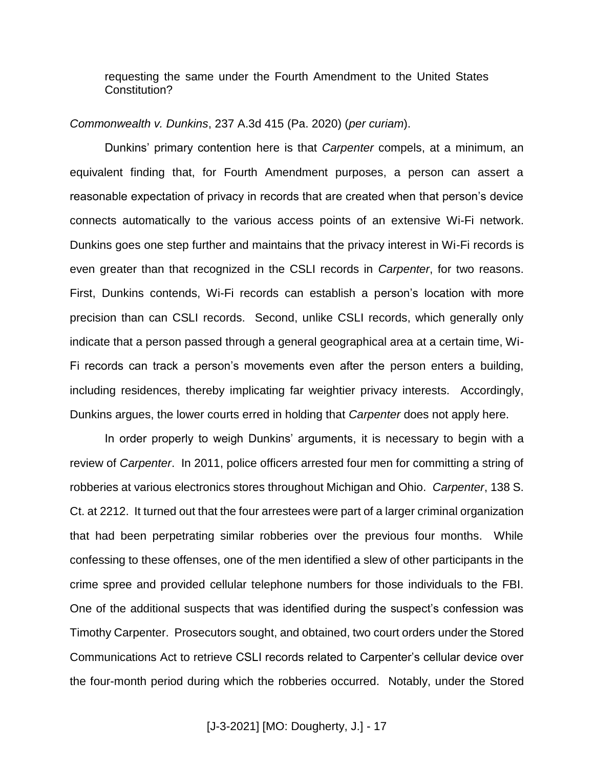requesting the same under the Fourth Amendment to the United States Constitution?

#### *Commonwealth v. Dunkins*, 237 A.3d 415 (Pa. 2020) (*per curiam*).

Dunkins' primary contention here is that *Carpenter* compels, at a minimum, an equivalent finding that, for Fourth Amendment purposes, a person can assert a reasonable expectation of privacy in records that are created when that person's device connects automatically to the various access points of an extensive Wi-Fi network. Dunkins goes one step further and maintains that the privacy interest in Wi-Fi records is even greater than that recognized in the CSLI records in *Carpenter*, for two reasons. First, Dunkins contends, Wi-Fi records can establish a person's location with more precision than can CSLI records. Second, unlike CSLI records, which generally only indicate that a person passed through a general geographical area at a certain time, Wi-Fi records can track a person's movements even after the person enters a building, including residences, thereby implicating far weightier privacy interests. Accordingly, Dunkins argues, the lower courts erred in holding that *Carpenter* does not apply here.

In order properly to weigh Dunkins' arguments, it is necessary to begin with a review of *Carpenter*. In 2011, police officers arrested four men for committing a string of robberies at various electronics stores throughout Michigan and Ohio. *Carpenter*, 138 S. Ct. at 2212. It turned out that the four arrestees were part of a larger criminal organization that had been perpetrating similar robberies over the previous four months. While confessing to these offenses, one of the men identified a slew of other participants in the crime spree and provided cellular telephone numbers for those individuals to the FBI. One of the additional suspects that was identified during the suspect's confession was Timothy Carpenter. Prosecutors sought, and obtained, two court orders under the Stored Communications Act to retrieve CSLI records related to Carpenter's cellular device over the four-month period during which the robberies occurred. Notably, under the Stored

[J-3-2021] [MO: Dougherty, J.] - 17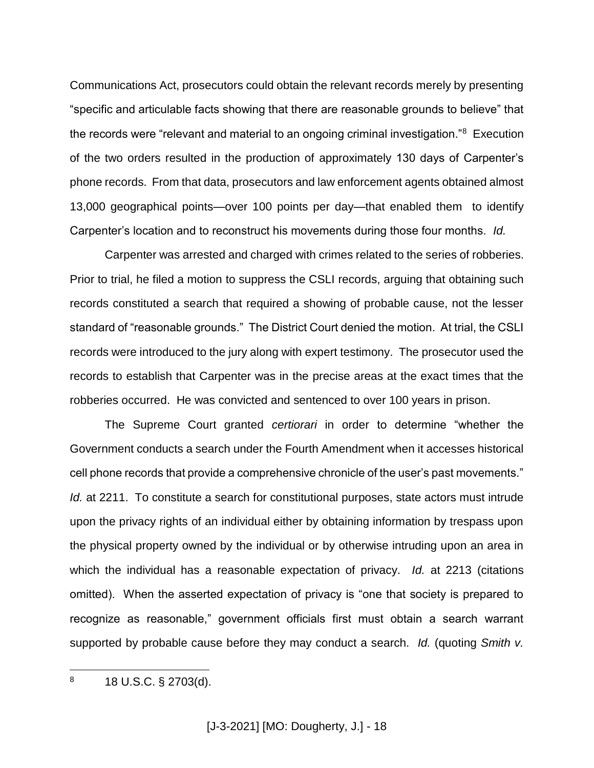Communications Act, prosecutors could obtain the relevant records merely by presenting "specific and articulable facts showing that there are reasonable grounds to believe" that the records were "relevant and material to an ongoing criminal investigation."<sup>8</sup> Execution of the two orders resulted in the production of approximately 130 days of Carpenter's phone records. From that data, prosecutors and law enforcement agents obtained almost 13,000 geographical points—over 100 points per day—that enabled them to identify Carpenter's location and to reconstruct his movements during those four months. *Id.*

Carpenter was arrested and charged with crimes related to the series of robberies. Prior to trial, he filed a motion to suppress the CSLI records, arguing that obtaining such records constituted a search that required a showing of probable cause, not the lesser standard of "reasonable grounds." The District Court denied the motion. At trial, the CSLI records were introduced to the jury along with expert testimony. The prosecutor used the records to establish that Carpenter was in the precise areas at the exact times that the robberies occurred. He was convicted and sentenced to over 100 years in prison.

The Supreme Court granted *certiorari* in order to determine "whether the Government conducts a search under the Fourth Amendment when it accesses historical cell phone records that provide a comprehensive chronicle of the user's past movements." *Id.* at 2211. To constitute a search for constitutional purposes, state actors must intrude upon the privacy rights of an individual either by obtaining information by trespass upon the physical property owned by the individual or by otherwise intruding upon an area in which the individual has a reasonable expectation of privacy. *Id.* at 2213 (citations omitted). When the asserted expectation of privacy is "one that society is prepared to recognize as reasonable," government officials first must obtain a search warrant supported by probable cause before they may conduct a search. *Id.* (quoting *Smith v.* 

 $\overline{a}$  $8$  18 U.S.C. § 2703(d).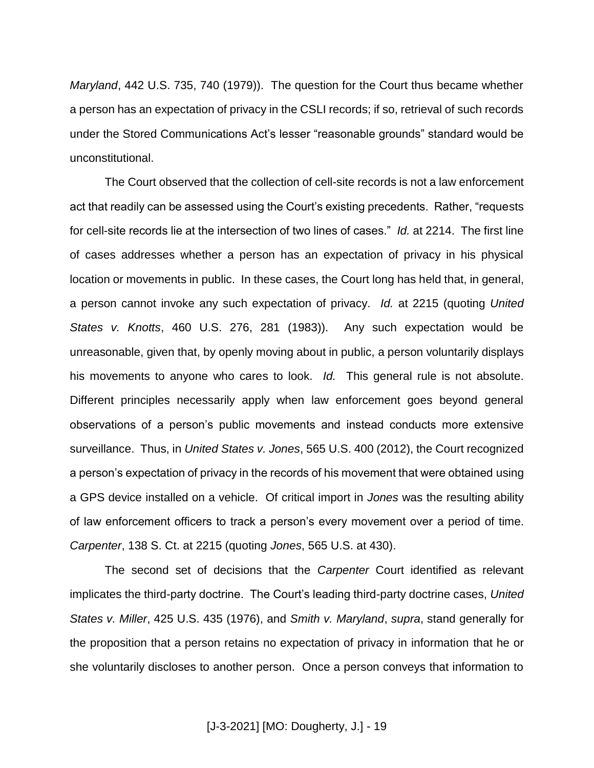*Maryland*, 442 U.S. 735, 740 (1979)). The question for the Court thus became whether a person has an expectation of privacy in the CSLI records; if so, retrieval of such records under the Stored Communications Act's lesser "reasonable grounds" standard would be unconstitutional.

The Court observed that the collection of cell-site records is not a law enforcement act that readily can be assessed using the Court's existing precedents. Rather, "requests for cell-site records lie at the intersection of two lines of cases." *Id.* at 2214. The first line of cases addresses whether a person has an expectation of privacy in his physical location or movements in public. In these cases, the Court long has held that, in general, a person cannot invoke any such expectation of privacy. *Id.* at 2215 (quoting *United States v. Knotts*, 460 U.S. 276, 281 (1983)). Any such expectation would be unreasonable, given that, by openly moving about in public, a person voluntarily displays his movements to anyone who cares to look. *Id.* This general rule is not absolute. Different principles necessarily apply when law enforcement goes beyond general observations of a person's public movements and instead conducts more extensive surveillance. Thus, in *United States v. Jones*, 565 U.S. 400 (2012), the Court recognized a person's expectation of privacy in the records of his movement that were obtained using a GPS device installed on a vehicle. Of critical import in *Jones* was the resulting ability of law enforcement officers to track a person's every movement over a period of time. *Carpenter*, 138 S. Ct. at 2215 (quoting *Jones*, 565 U.S. at 430).

The second set of decisions that the *Carpenter* Court identified as relevant implicates the third-party doctrine. The Court's leading third-party doctrine cases, *United States v. Miller*, 425 U.S. 435 (1976), and *Smith v. Maryland*, *supra*, stand generally for the proposition that a person retains no expectation of privacy in information that he or she voluntarily discloses to another person. Once a person conveys that information to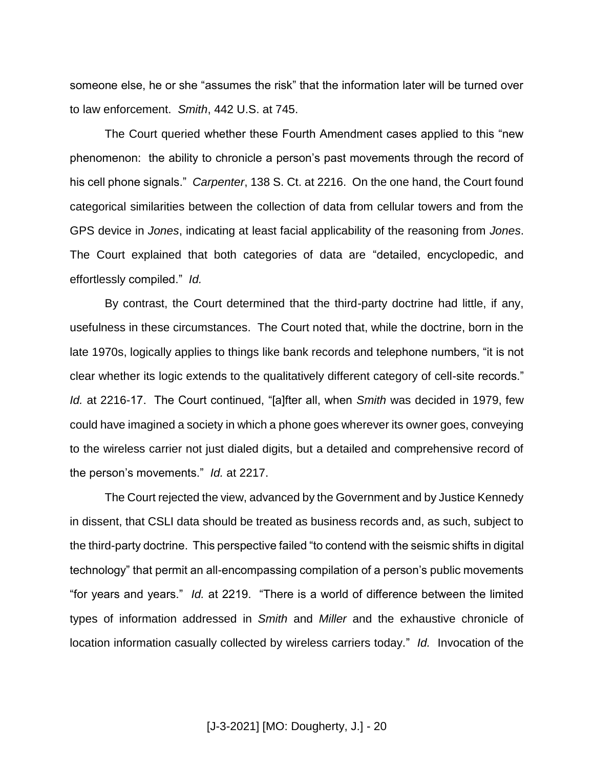someone else, he or she "assumes the risk" that the information later will be turned over to law enforcement. *Smith*, 442 U.S. at 745.

The Court queried whether these Fourth Amendment cases applied to this "new phenomenon: the ability to chronicle a person's past movements through the record of his cell phone signals." *Carpenter*, 138 S. Ct. at 2216. On the one hand, the Court found categorical similarities between the collection of data from cellular towers and from the GPS device in *Jones*, indicating at least facial applicability of the reasoning from *Jones*. The Court explained that both categories of data are "detailed, encyclopedic, and effortlessly compiled." *Id.*

By contrast, the Court determined that the third-party doctrine had little, if any, usefulness in these circumstances. The Court noted that, while the doctrine, born in the late 1970s, logically applies to things like bank records and telephone numbers, "it is not clear whether its logic extends to the qualitatively different category of cell-site records." *Id.* at 2216-17. The Court continued, "[a]fter all, when *Smith* was decided in 1979, few could have imagined a society in which a phone goes wherever its owner goes, conveying to the wireless carrier not just dialed digits, but a detailed and comprehensive record of the person's movements." *Id.* at 2217.

The Court rejected the view, advanced by the Government and by Justice Kennedy in dissent, that CSLI data should be treated as business records and, as such, subject to the third-party doctrine. This perspective failed "to contend with the seismic shifts in digital technology" that permit an all-encompassing compilation of a person's public movements "for years and years." *Id.* at 2219. "There is a world of difference between the limited types of information addressed in *Smith* and *Miller* and the exhaustive chronicle of location information casually collected by wireless carriers today." *Id.* Invocation of the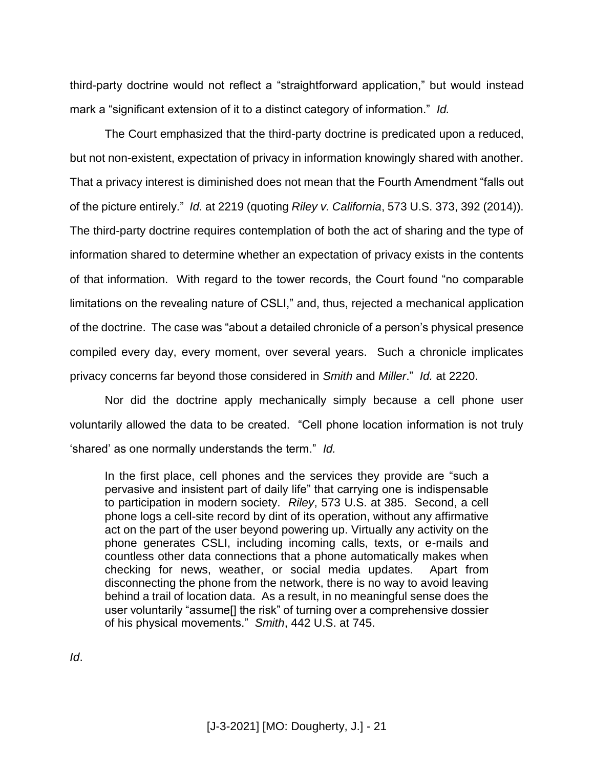third-party doctrine would not reflect a "straightforward application," but would instead mark a "significant extension of it to a distinct category of information." *Id.*

The Court emphasized that the third-party doctrine is predicated upon a reduced, but not non-existent, expectation of privacy in information knowingly shared with another. That a privacy interest is diminished does not mean that the Fourth Amendment "falls out of the picture entirely." *Id.* at 2219 (quoting *Riley v. California*, 573 U.S. 373, 392 (2014)). The third-party doctrine requires contemplation of both the act of sharing and the type of information shared to determine whether an expectation of privacy exists in the contents of that information. With regard to the tower records, the Court found "no comparable limitations on the revealing nature of CSLI," and, thus, rejected a mechanical application of the doctrine. The case was "about a detailed chronicle of a person's physical presence compiled every day, every moment, over several years. Such a chronicle implicates privacy concerns far beyond those considered in *Smith* and *Miller*." *Id.* at 2220.

Nor did the doctrine apply mechanically simply because a cell phone user voluntarily allowed the data to be created. "Cell phone location information is not truly 'shared' as one normally understands the term." *Id.*

In the first place, cell phones and the services they provide are "such a pervasive and insistent part of daily life" that carrying one is indispensable to participation in modern society. *Riley*, 573 U.S. at 385. Second, a cell phone logs a cell-site record by dint of its operation, without any affirmative act on the part of the user beyond powering up. Virtually any activity on the phone generates CSLI, including incoming calls, texts, or e-mails and countless other data connections that a phone automatically makes when checking for news, weather, or social media updates. Apart from disconnecting the phone from the network, there is no way to avoid leaving behind a trail of location data. As a result, in no meaningful sense does the user voluntarily "assume[] the risk" of turning over a comprehensive dossier of his physical movements." *Smith*, 442 U.S. at 745.

*Id*.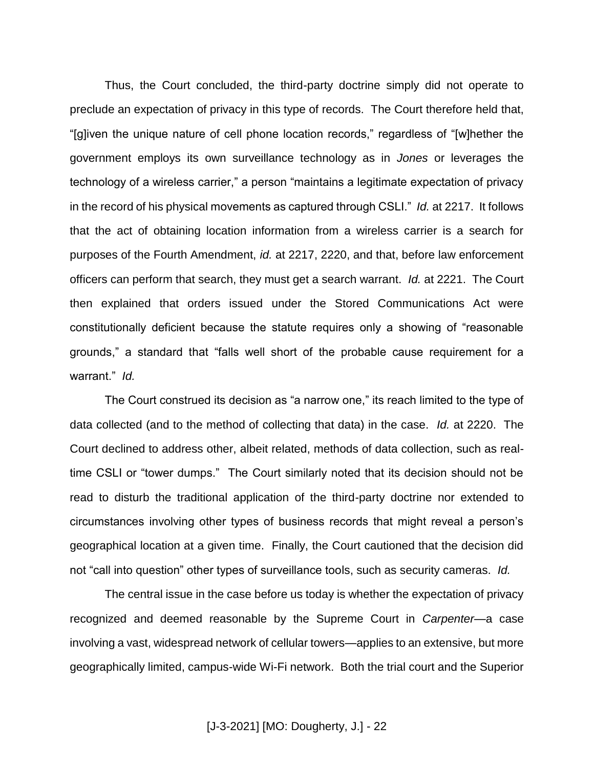Thus, the Court concluded, the third-party doctrine simply did not operate to preclude an expectation of privacy in this type of records. The Court therefore held that, "[g]iven the unique nature of cell phone location records," regardless of "[w]hether the government employs its own surveillance technology as in *Jones* or leverages the technology of a wireless carrier," a person "maintains a legitimate expectation of privacy in the record of his physical movements as captured through CSLI." *Id.* at 2217. It follows that the act of obtaining location information from a wireless carrier is a search for purposes of the Fourth Amendment, *id.* at 2217, 2220, and that, before law enforcement officers can perform that search, they must get a search warrant. *Id.* at 2221. The Court then explained that orders issued under the Stored Communications Act were constitutionally deficient because the statute requires only a showing of "reasonable grounds," a standard that "falls well short of the probable cause requirement for a warrant." *Id.*

The Court construed its decision as "a narrow one," its reach limited to the type of data collected (and to the method of collecting that data) in the case. *Id.* at 2220. The Court declined to address other, albeit related, methods of data collection, such as realtime CSLI or "tower dumps." The Court similarly noted that its decision should not be read to disturb the traditional application of the third-party doctrine nor extended to circumstances involving other types of business records that might reveal a person's geographical location at a given time. Finally, the Court cautioned that the decision did not "call into question" other types of surveillance tools, such as security cameras. *Id.*

The central issue in the case before us today is whether the expectation of privacy recognized and deemed reasonable by the Supreme Court in *Carpenter*—a case involving a vast, widespread network of cellular towers—applies to an extensive, but more geographically limited, campus-wide Wi-Fi network. Both the trial court and the Superior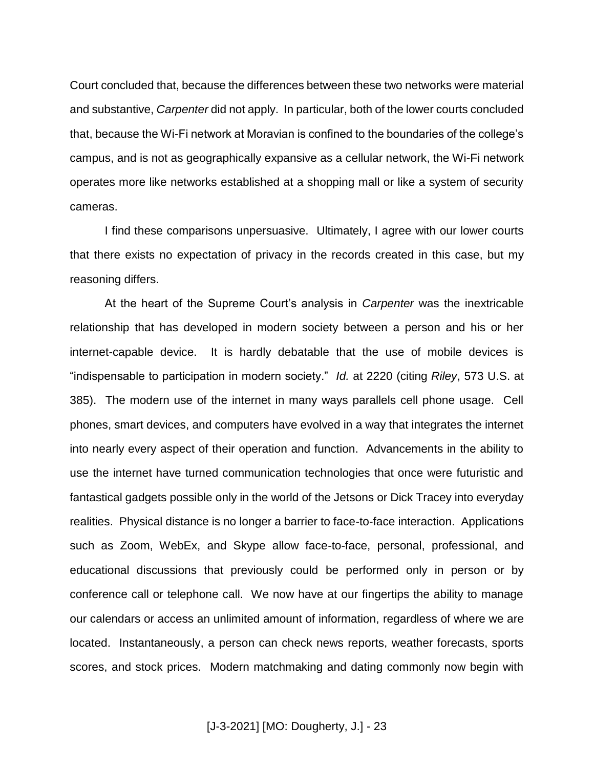Court concluded that, because the differences between these two networks were material and substantive, *Carpenter* did not apply. In particular, both of the lower courts concluded that, because the Wi-Fi network at Moravian is confined to the boundaries of the college's campus, and is not as geographically expansive as a cellular network, the Wi-Fi network operates more like networks established at a shopping mall or like a system of security cameras.

I find these comparisons unpersuasive. Ultimately, I agree with our lower courts that there exists no expectation of privacy in the records created in this case, but my reasoning differs.

At the heart of the Supreme Court's analysis in *Carpenter* was the inextricable relationship that has developed in modern society between a person and his or her internet-capable device. It is hardly debatable that the use of mobile devices is "indispensable to participation in modern society." *Id.* at 2220 (citing *Riley*, 573 U.S. at 385). The modern use of the internet in many ways parallels cell phone usage. Cell phones, smart devices, and computers have evolved in a way that integrates the internet into nearly every aspect of their operation and function. Advancements in the ability to use the internet have turned communication technologies that once were futuristic and fantastical gadgets possible only in the world of the Jetsons or Dick Tracey into everyday realities. Physical distance is no longer a barrier to face-to-face interaction. Applications such as Zoom, WebEx, and Skype allow face-to-face, personal, professional, and educational discussions that previously could be performed only in person or by conference call or telephone call. We now have at our fingertips the ability to manage our calendars or access an unlimited amount of information, regardless of where we are located. Instantaneously, a person can check news reports, weather forecasts, sports scores, and stock prices. Modern matchmaking and dating commonly now begin with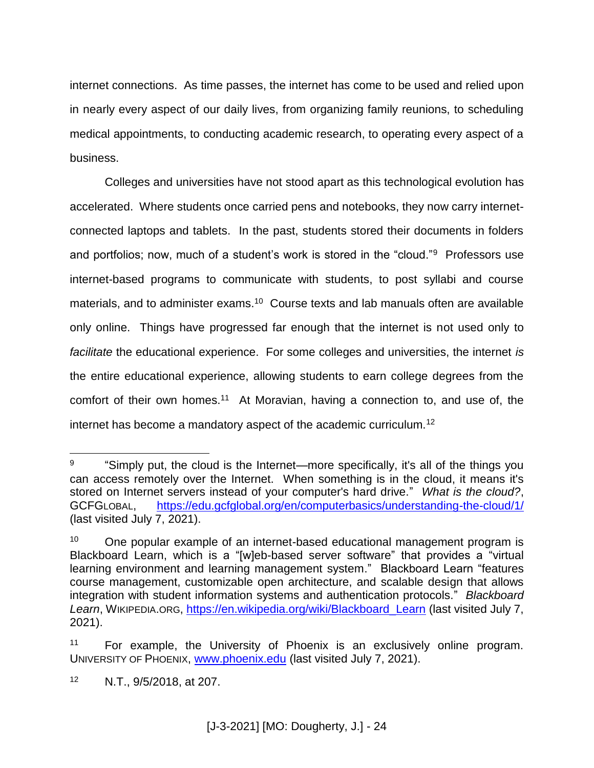internet connections. As time passes, the internet has come to be used and relied upon in nearly every aspect of our daily lives, from organizing family reunions, to scheduling medical appointments, to conducting academic research, to operating every aspect of a business.

Colleges and universities have not stood apart as this technological evolution has accelerated. Where students once carried pens and notebooks, they now carry internetconnected laptops and tablets. In the past, students stored their documents in folders and portfolios; now, much of a student's work is stored in the "cloud."<sup>9</sup> Professors use internet-based programs to communicate with students, to post syllabi and course materials, and to administer exams.<sup>10</sup> Course texts and lab manuals often are available only online. Things have progressed far enough that the internet is not used only to *facilitate* the educational experience. For some colleges and universities, the internet *is* the entire educational experience, allowing students to earn college degrees from the comfort of their own homes.<sup>11</sup> At Moravian, having a connection to, and use of, the internet has become a mandatory aspect of the academic curriculum.<sup>12</sup>

 $\overline{a}$ 

<sup>9</sup> "Simply put, the cloud is the Internet—more specifically, it's all of the things you can access remotely over the Internet. When something is in the cloud, it means it's stored on Internet servers instead of your computer's hard drive." *What is the cloud?*, GCFGLOBAL, <https://edu.gcfglobal.org/en/computerbasics/understanding-the-cloud/1/> (last visited July 7, 2021).

 $10$  One popular example of an internet-based educational management program is Blackboard Learn, which is a "[w]eb-based server software" that provides a "virtual learning environment and learning management system." Blackboard Learn "features course management, customizable open architecture, and scalable design that allows integration with student information systems and authentication protocols." *Blackboard Learn*, WIKIPEDIA.ORG, [https://en.wikipedia.org/wiki/Blackboard\\_Learn](https://en.wikipedia.org/wiki/Blackboard_Learn) (last visited July 7, 2021).

<sup>&</sup>lt;sup>11</sup> For example, the University of Phoenix is an exclusively online program. UNIVERSITY OF PHOENIX, [www.phoenix.edu](http://www.phoenix.edu/) (last visited July 7, 2021).

<sup>12</sup> N.T., 9/5/2018, at 207.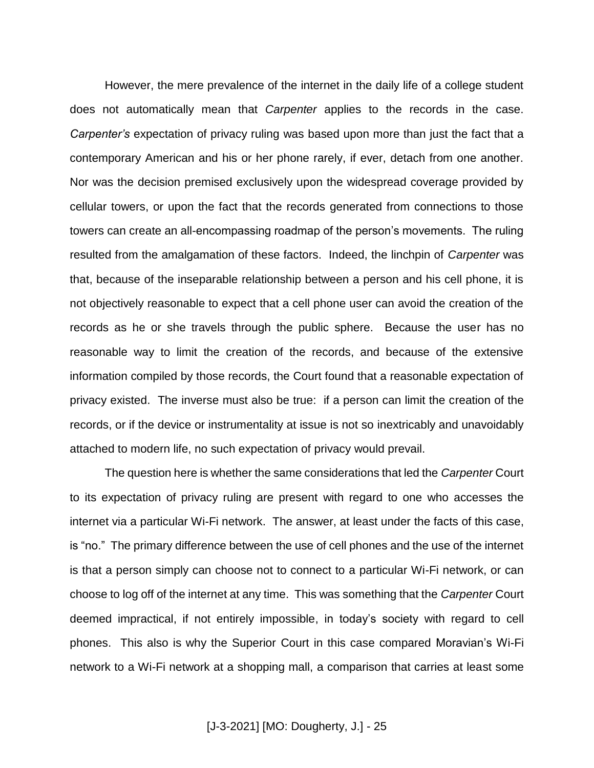However, the mere prevalence of the internet in the daily life of a college student does not automatically mean that *Carpenter* applies to the records in the case. *Carpenter's* expectation of privacy ruling was based upon more than just the fact that a contemporary American and his or her phone rarely, if ever, detach from one another. Nor was the decision premised exclusively upon the widespread coverage provided by cellular towers, or upon the fact that the records generated from connections to those towers can create an all-encompassing roadmap of the person's movements. The ruling resulted from the amalgamation of these factors. Indeed, the linchpin of *Carpenter* was that, because of the inseparable relationship between a person and his cell phone, it is not objectively reasonable to expect that a cell phone user can avoid the creation of the records as he or she travels through the public sphere. Because the user has no reasonable way to limit the creation of the records, and because of the extensive information compiled by those records, the Court found that a reasonable expectation of privacy existed. The inverse must also be true: if a person can limit the creation of the records, or if the device or instrumentality at issue is not so inextricably and unavoidably attached to modern life, no such expectation of privacy would prevail.

The question here is whether the same considerations that led the *Carpenter* Court to its expectation of privacy ruling are present with regard to one who accesses the internet via a particular Wi-Fi network. The answer, at least under the facts of this case, is "no." The primary difference between the use of cell phones and the use of the internet is that a person simply can choose not to connect to a particular Wi-Fi network, or can choose to log off of the internet at any time. This was something that the *Carpenter* Court deemed impractical, if not entirely impossible, in today's society with regard to cell phones. This also is why the Superior Court in this case compared Moravian's Wi-Fi network to a Wi-Fi network at a shopping mall, a comparison that carries at least some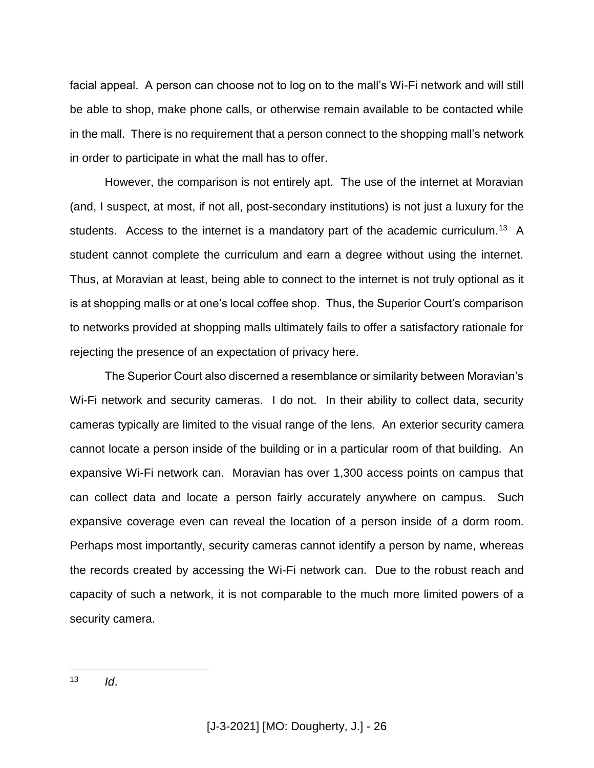facial appeal. A person can choose not to log on to the mall's Wi-Fi network and will still be able to shop, make phone calls, or otherwise remain available to be contacted while in the mall. There is no requirement that a person connect to the shopping mall's network in order to participate in what the mall has to offer.

However, the comparison is not entirely apt. The use of the internet at Moravian (and, I suspect, at most, if not all, post-secondary institutions) is not just a luxury for the students. Access to the internet is a mandatory part of the academic curriculum.<sup>13</sup> A student cannot complete the curriculum and earn a degree without using the internet. Thus, at Moravian at least, being able to connect to the internet is not truly optional as it is at shopping malls or at one's local coffee shop. Thus, the Superior Court's comparison to networks provided at shopping malls ultimately fails to offer a satisfactory rationale for rejecting the presence of an expectation of privacy here.

The Superior Court also discerned a resemblance or similarity between Moravian's Wi-Fi network and security cameras. I do not. In their ability to collect data, security cameras typically are limited to the visual range of the lens. An exterior security camera cannot locate a person inside of the building or in a particular room of that building. An expansive Wi-Fi network can. Moravian has over 1,300 access points on campus that can collect data and locate a person fairly accurately anywhere on campus. Such expansive coverage even can reveal the location of a person inside of a dorm room. Perhaps most importantly, security cameras cannot identify a person by name, whereas the records created by accessing the Wi-Fi network can. Due to the robust reach and capacity of such a network, it is not comparable to the much more limited powers of a security camera.

 $13$ <sup>13</sup> *Id*.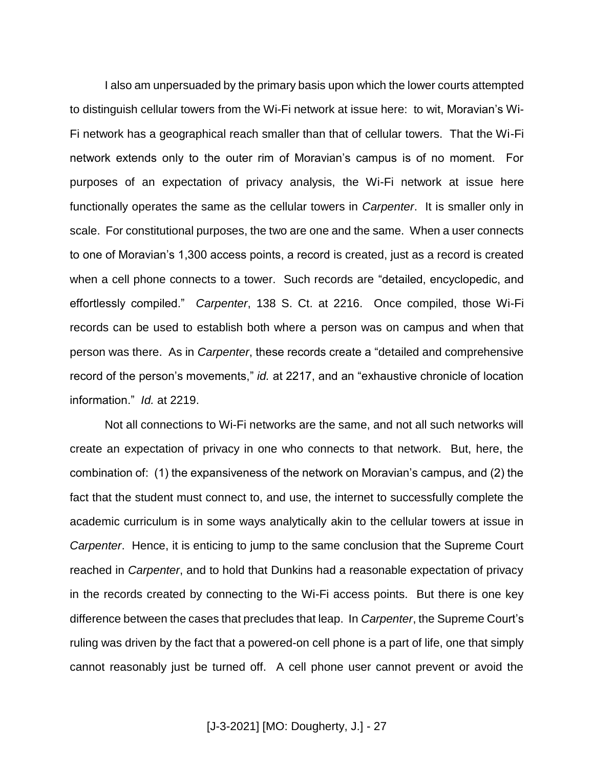I also am unpersuaded by the primary basis upon which the lower courts attempted to distinguish cellular towers from the Wi-Fi network at issue here: to wit, Moravian's Wi-Fi network has a geographical reach smaller than that of cellular towers. That the Wi-Fi network extends only to the outer rim of Moravian's campus is of no moment. For purposes of an expectation of privacy analysis, the Wi-Fi network at issue here functionally operates the same as the cellular towers in *Carpenter*. It is smaller only in scale. For constitutional purposes, the two are one and the same. When a user connects to one of Moravian's 1,300 access points, a record is created, just as a record is created when a cell phone connects to a tower. Such records are "detailed, encyclopedic, and effortlessly compiled." *Carpenter*, 138 S. Ct. at 2216. Once compiled, those Wi-Fi records can be used to establish both where a person was on campus and when that person was there. As in *Carpenter*, these records create a "detailed and comprehensive record of the person's movements," *id.* at 2217, and an "exhaustive chronicle of location information." *Id.* at 2219.

Not all connections to Wi-Fi networks are the same, and not all such networks will create an expectation of privacy in one who connects to that network. But, here, the combination of: (1) the expansiveness of the network on Moravian's campus, and (2) the fact that the student must connect to, and use, the internet to successfully complete the academic curriculum is in some ways analytically akin to the cellular towers at issue in *Carpenter*. Hence, it is enticing to jump to the same conclusion that the Supreme Court reached in *Carpenter*, and to hold that Dunkins had a reasonable expectation of privacy in the records created by connecting to the Wi-Fi access points. But there is one key difference between the cases that precludes that leap. In *Carpenter*, the Supreme Court's ruling was driven by the fact that a powered-on cell phone is a part of life, one that simply cannot reasonably just be turned off. A cell phone user cannot prevent or avoid the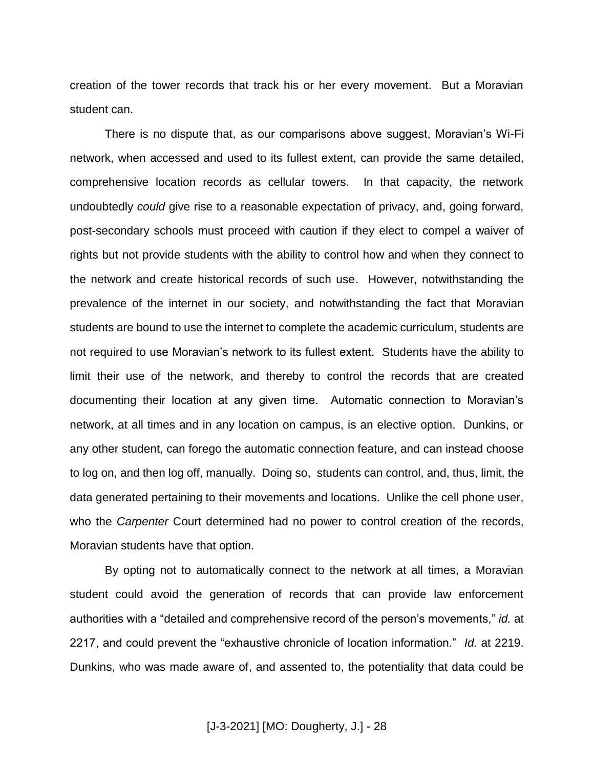creation of the tower records that track his or her every movement. But a Moravian student can.

There is no dispute that, as our comparisons above suggest, Moravian's Wi-Fi network, when accessed and used to its fullest extent, can provide the same detailed, comprehensive location records as cellular towers. In that capacity, the network undoubtedly *could* give rise to a reasonable expectation of privacy, and, going forward, post-secondary schools must proceed with caution if they elect to compel a waiver of rights but not provide students with the ability to control how and when they connect to the network and create historical records of such use. However, notwithstanding the prevalence of the internet in our society, and notwithstanding the fact that Moravian students are bound to use the internet to complete the academic curriculum, students are not required to use Moravian's network to its fullest extent. Students have the ability to limit their use of the network, and thereby to control the records that are created documenting their location at any given time. Automatic connection to Moravian's network, at all times and in any location on campus, is an elective option. Dunkins, or any other student, can forego the automatic connection feature, and can instead choose to log on, and then log off, manually. Doing so, students can control, and, thus, limit, the data generated pertaining to their movements and locations. Unlike the cell phone user, who the *Carpenter* Court determined had no power to control creation of the records, Moravian students have that option.

By opting not to automatically connect to the network at all times, a Moravian student could avoid the generation of records that can provide law enforcement authorities with a "detailed and comprehensive record of the person's movements," *id.* at 2217, and could prevent the "exhaustive chronicle of location information." *Id.* at 2219. Dunkins, who was made aware of, and assented to, the potentiality that data could be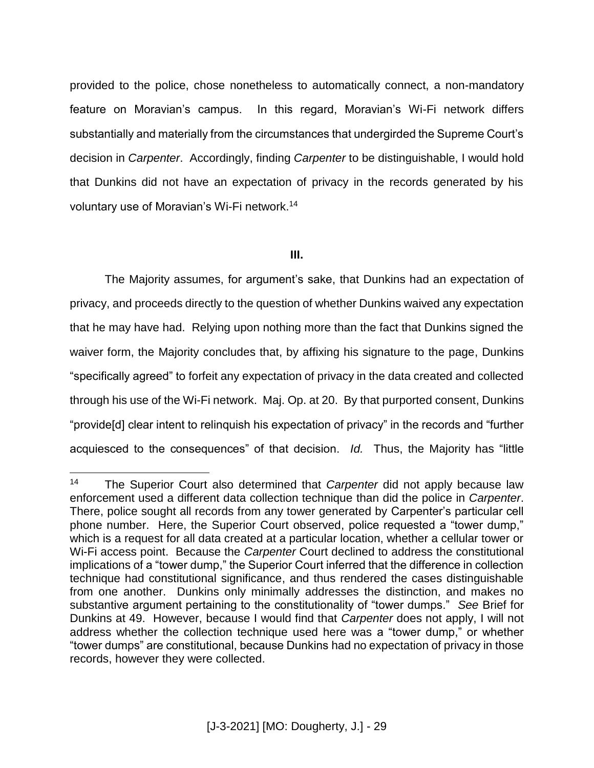provided to the police, chose nonetheless to automatically connect, a non-mandatory feature on Moravian's campus. In this regard, Moravian's Wi-Fi network differs substantially and materially from the circumstances that undergirded the Supreme Court's decision in *Carpenter*. Accordingly, finding *Carpenter* to be distinguishable, I would hold that Dunkins did not have an expectation of privacy in the records generated by his voluntary use of Moravian's Wi-Fi network.<sup>14</sup>

### **III.**

The Majority assumes, for argument's sake, that Dunkins had an expectation of privacy, and proceeds directly to the question of whether Dunkins waived any expectation that he may have had. Relying upon nothing more than the fact that Dunkins signed the waiver form, the Majority concludes that, by affixing his signature to the page, Dunkins "specifically agreed" to forfeit any expectation of privacy in the data created and collected through his use of the Wi-Fi network. Maj. Op. at 20. By that purported consent, Dunkins "provide[d] clear intent to relinquish his expectation of privacy" in the records and "further acquiesced to the consequences" of that decision. *Id.* Thus, the Majority has "little

 $\overline{a}$ 

<sup>14</sup> The Superior Court also determined that *Carpenter* did not apply because law enforcement used a different data collection technique than did the police in *Carpenter*. There, police sought all records from any tower generated by Carpenter's particular cell phone number. Here, the Superior Court observed, police requested a "tower dump," which is a request for all data created at a particular location, whether a cellular tower or Wi-Fi access point. Because the *Carpenter* Court declined to address the constitutional implications of a "tower dump," the Superior Court inferred that the difference in collection technique had constitutional significance, and thus rendered the cases distinguishable from one another. Dunkins only minimally addresses the distinction, and makes no substantive argument pertaining to the constitutionality of "tower dumps." *See* Brief for Dunkins at 49. However, because I would find that *Carpenter* does not apply, I will not address whether the collection technique used here was a "tower dump," or whether "tower dumps" are constitutional, because Dunkins had no expectation of privacy in those records, however they were collected.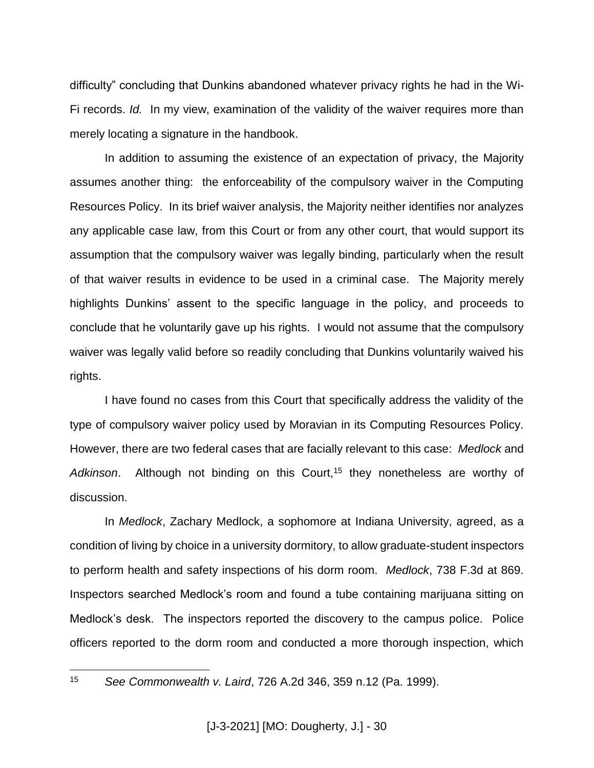difficulty" concluding that Dunkins abandoned whatever privacy rights he had in the Wi-Fi records. *Id.* In my view, examination of the validity of the waiver requires more than merely locating a signature in the handbook.

In addition to assuming the existence of an expectation of privacy, the Majority assumes another thing: the enforceability of the compulsory waiver in the Computing Resources Policy. In its brief waiver analysis, the Majority neither identifies nor analyzes any applicable case law, from this Court or from any other court, that would support its assumption that the compulsory waiver was legally binding, particularly when the result of that waiver results in evidence to be used in a criminal case. The Majority merely highlights Dunkins' assent to the specific language in the policy, and proceeds to conclude that he voluntarily gave up his rights. I would not assume that the compulsory waiver was legally valid before so readily concluding that Dunkins voluntarily waived his rights.

I have found no cases from this Court that specifically address the validity of the type of compulsory waiver policy used by Moravian in its Computing Resources Policy. However, there are two federal cases that are facially relevant to this case: *Medlock* and Adkinson. Although not binding on this Court,<sup>15</sup> they nonetheless are worthy of discussion.

In *Medlock*, Zachary Medlock, a sophomore at Indiana University, agreed, as a condition of living by choice in a university dormitory, to allow graduate-student inspectors to perform health and safety inspections of his dorm room. *Medlock*, 738 F.3d at 869. Inspectors searched Medlock's room and found a tube containing marijuana sitting on Medlock's desk. The inspectors reported the discovery to the campus police. Police officers reported to the dorm room and conducted a more thorough inspection, which

15

<sup>15</sup> *See Commonwealth v. Laird*, 726 A.2d 346, 359 n.12 (Pa. 1999).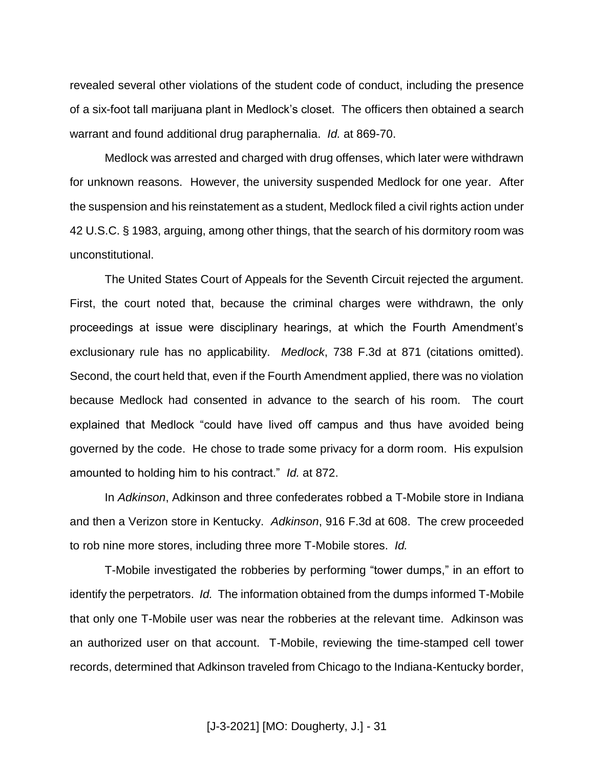revealed several other violations of the student code of conduct, including the presence of a six-foot tall marijuana plant in Medlock's closet. The officers then obtained a search warrant and found additional drug paraphernalia. *Id.* at 869-70.

Medlock was arrested and charged with drug offenses, which later were withdrawn for unknown reasons. However, the university suspended Medlock for one year. After the suspension and his reinstatement as a student, Medlock filed a civil rights action under 42 U.S.C. § 1983, arguing, among other things, that the search of his dormitory room was unconstitutional.

The United States Court of Appeals for the Seventh Circuit rejected the argument. First, the court noted that, because the criminal charges were withdrawn, the only proceedings at issue were disciplinary hearings, at which the Fourth Amendment's exclusionary rule has no applicability. *Medlock*, 738 F.3d at 871 (citations omitted). Second, the court held that, even if the Fourth Amendment applied, there was no violation because Medlock had consented in advance to the search of his room. The court explained that Medlock "could have lived off campus and thus have avoided being governed by the code. He chose to trade some privacy for a dorm room. His expulsion amounted to holding him to his contract." *Id.* at 872.

In *Adkinson*, Adkinson and three confederates robbed a T-Mobile store in Indiana and then a Verizon store in Kentucky. *Adkinson*, 916 F.3d at 608. The crew proceeded to rob nine more stores, including three more T-Mobile stores. *Id.*

T-Mobile investigated the robberies by performing "tower dumps," in an effort to identify the perpetrators. *Id.* The information obtained from the dumps informed T-Mobile that only one T-Mobile user was near the robberies at the relevant time. Adkinson was an authorized user on that account. T-Mobile, reviewing the time-stamped cell tower records, determined that Adkinson traveled from Chicago to the Indiana-Kentucky border,

[J-3-2021] [MO: Dougherty, J.] - 31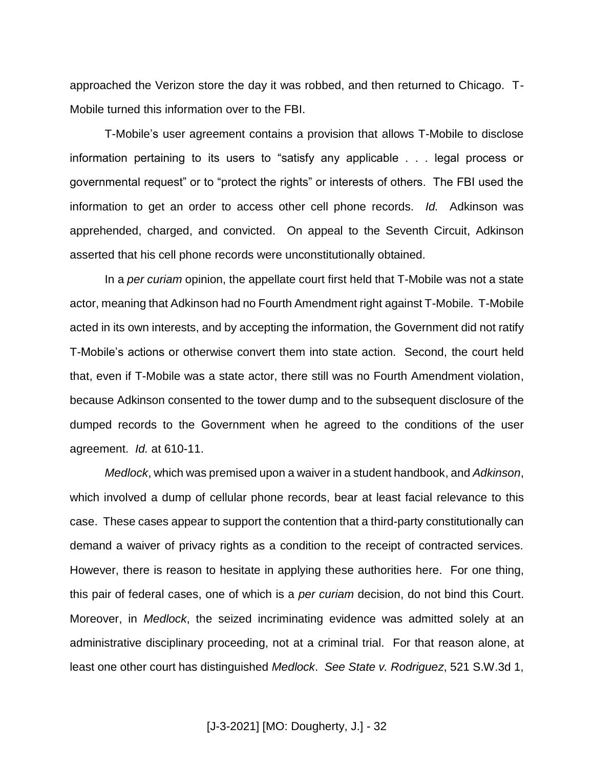approached the Verizon store the day it was robbed, and then returned to Chicago. T-Mobile turned this information over to the FBI.

T-Mobile's user agreement contains a provision that allows T-Mobile to disclose information pertaining to its users to "satisfy any applicable . . . legal process or governmental request" or to "protect the rights" or interests of others. The FBI used the information to get an order to access other cell phone records. *Id.* Adkinson was apprehended, charged, and convicted. On appeal to the Seventh Circuit, Adkinson asserted that his cell phone records were unconstitutionally obtained.

In a *per curiam* opinion, the appellate court first held that T-Mobile was not a state actor, meaning that Adkinson had no Fourth Amendment right against T-Mobile. T-Mobile acted in its own interests, and by accepting the information, the Government did not ratify T-Mobile's actions or otherwise convert them into state action. Second, the court held that, even if T-Mobile was a state actor, there still was no Fourth Amendment violation, because Adkinson consented to the tower dump and to the subsequent disclosure of the dumped records to the Government when he agreed to the conditions of the user agreement. *Id.* at 610-11.

*Medlock*, which was premised upon a waiver in a student handbook, and *Adkinson*, which involved a dump of cellular phone records, bear at least facial relevance to this case. These cases appear to support the contention that a third-party constitutionally can demand a waiver of privacy rights as a condition to the receipt of contracted services. However, there is reason to hesitate in applying these authorities here. For one thing, this pair of federal cases, one of which is a *per curiam* decision, do not bind this Court. Moreover, in *Medlock*, the seized incriminating evidence was admitted solely at an administrative disciplinary proceeding, not at a criminal trial. For that reason alone, at least one other court has distinguished *Medlock*. *See State v. Rodriguez*, 521 S.W.3d 1,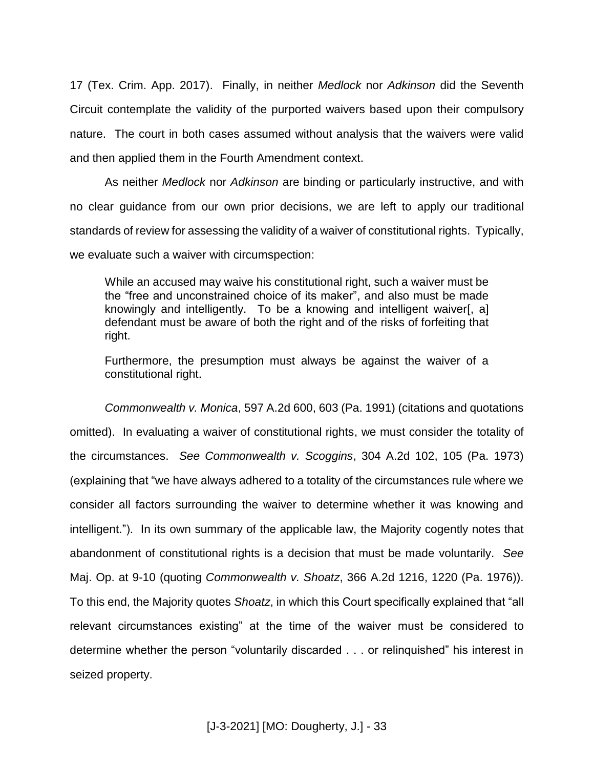17 (Tex. Crim. App. 2017). Finally, in neither *Medlock* nor *Adkinson* did the Seventh Circuit contemplate the validity of the purported waivers based upon their compulsory nature. The court in both cases assumed without analysis that the waivers were valid and then applied them in the Fourth Amendment context.

As neither *Medlock* nor *Adkinson* are binding or particularly instructive, and with no clear guidance from our own prior decisions, we are left to apply our traditional standards of review for assessing the validity of a waiver of constitutional rights. Typically, we evaluate such a waiver with circumspection:

While an accused may waive his constitutional right, such a waiver must be the "free and unconstrained choice of its maker", and also must be made knowingly and intelligently. To be a knowing and intelligent waiver[, a] defendant must be aware of both the right and of the risks of forfeiting that right.

Furthermore, the presumption must always be against the waiver of a constitutional right.

*Commonwealth v. Monica*, 597 A.2d 600, 603 (Pa. 1991) (citations and quotations omitted). In evaluating a waiver of constitutional rights, we must consider the totality of the circumstances. *See Commonwealth v. Scoggins*, 304 A.2d 102, 105 (Pa. 1973) (explaining that "we have always adhered to a totality of the circumstances rule where we consider all factors surrounding the waiver to determine whether it was knowing and intelligent."). In its own summary of the applicable law, the Majority cogently notes that abandonment of constitutional rights is a decision that must be made voluntarily. *See*  Maj. Op. at 9-10 (quoting *Commonwealth v. Shoatz*, 366 A.2d 1216, 1220 (Pa. 1976)). To this end, the Majority quotes *Shoatz*, in which this Court specifically explained that "all relevant circumstances existing" at the time of the waiver must be considered to determine whether the person "voluntarily discarded . . . or relinquished" his interest in seized property.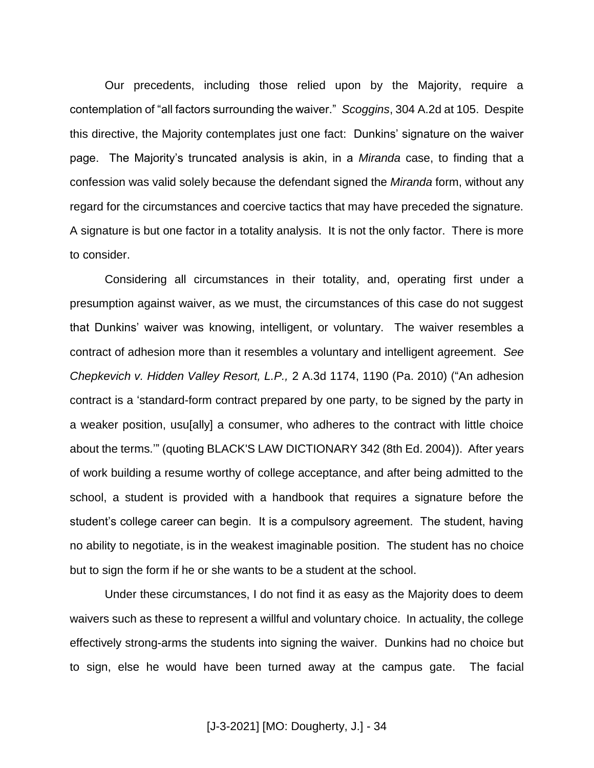Our precedents, including those relied upon by the Majority, require a contemplation of "all factors surrounding the waiver." *Scoggins*, 304 A.2d at 105. Despite this directive, the Majority contemplates just one fact: Dunkins' signature on the waiver page. The Majority's truncated analysis is akin, in a *Miranda* case, to finding that a confession was valid solely because the defendant signed the *Miranda* form, without any regard for the circumstances and coercive tactics that may have preceded the signature. A signature is but one factor in a totality analysis. It is not the only factor. There is more to consider.

Considering all circumstances in their totality, and, operating first under a presumption against waiver, as we must, the circumstances of this case do not suggest that Dunkins' waiver was knowing, intelligent, or voluntary. The waiver resembles a contract of adhesion more than it resembles a voluntary and intelligent agreement. *See Chepkevich v. Hidden Valley Resort, L.P.,* 2 A.3d 1174, 1190 (Pa. 2010) ("An adhesion contract is a 'standard-form contract prepared by one party, to be signed by the party in a weaker position, usu[ally] a consumer, who adheres to the contract with little choice about the terms.'" (quoting BLACK'S LAW DICTIONARY 342 (8th Ed. 2004)). After years of work building a resume worthy of college acceptance, and after being admitted to the school, a student is provided with a handbook that requires a signature before the student's college career can begin. It is a compulsory agreement. The student, having no ability to negotiate, is in the weakest imaginable position. The student has no choice but to sign the form if he or she wants to be a student at the school.

Under these circumstances, I do not find it as easy as the Majority does to deem waivers such as these to represent a willful and voluntary choice. In actuality, the college effectively strong-arms the students into signing the waiver. Dunkins had no choice but to sign, else he would have been turned away at the campus gate. The facial